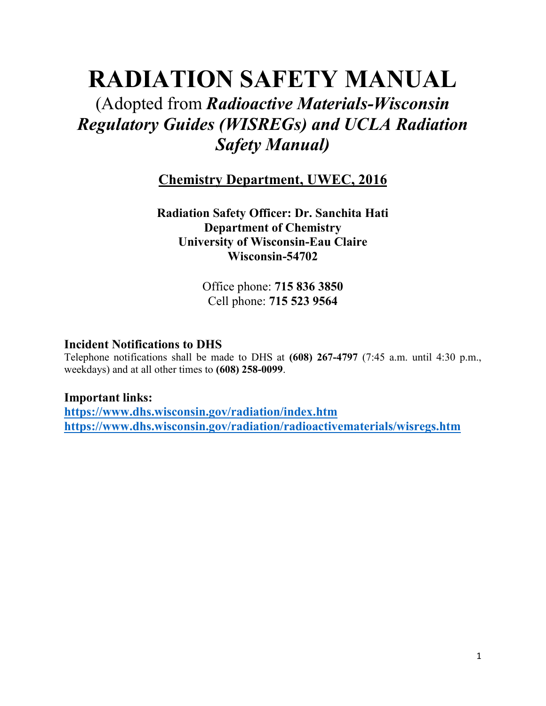## **RADIATION SAFETY MANUAL**

### (Adopted from *Radioactive Materials-Wisconsin Regulatory Guides (WISREGs) and UCLA Radiation Safety Manual)*

**Chemistry Department, UWEC, 2016**

**Radiation Safety Officer: Dr. Sanchita Hati Department of Chemistry University of Wisconsin-Eau Claire Wisconsin-54702**

> Office phone: **715 836 3850** Cell phone: **715 523 9564**

#### **Incident Notifications to DHS**

Telephone notifications shall be made to DHS at **(608) 267-4797** (7:45 a.m. until 4:30 p.m., weekdays) and at all other times to **(608) 258-0099**.

#### **Important links:**

**<https://www.dhs.wisconsin.gov/radiation/index.htm> <https://www.dhs.wisconsin.gov/radiation/radioactivematerials/wisregs.htm>**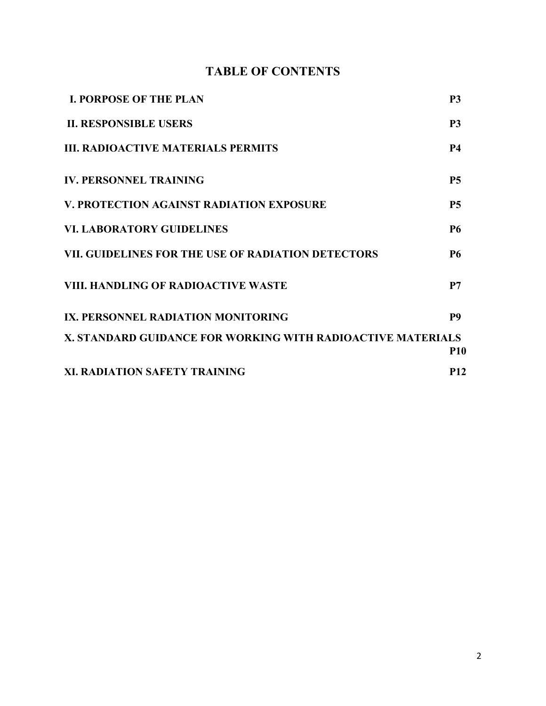#### **TABLE OF CONTENTS**

| <b>I. PORPOSE OF THE PLAN</b>                               | P <sub>3</sub> |
|-------------------------------------------------------------|----------------|
| <b>II. RESPONSIBLE USERS</b>                                | <b>P3</b>      |
| <b>III. RADIOACTIVE MATERIALS PERMITS</b>                   | <b>P4</b>      |
| <b>IV. PERSONNEL TRAINING</b>                               | <b>P5</b>      |
| V. PROTECTION AGAINST RADIATION EXPOSURE                    | <b>P5</b>      |
| <b>VI. LABORATORY GUIDELINES</b>                            | <b>P6</b>      |
| VII. GUIDELINES FOR THE USE OF RADIATION DETECTORS          | <b>P6</b>      |
| <b>VIII. HANDLING OF RADIOACTIVE WASTE</b>                  | P7             |
| IX. PERSONNEL RADIATION MONITORING                          | P <sub>9</sub> |
| X. STANDARD GUIDANCE FOR WORKING WITH RADIOACTIVE MATERIALS | <b>P10</b>     |
| XI. RADIATION SAFETY TRAINING                               | <b>P12</b>     |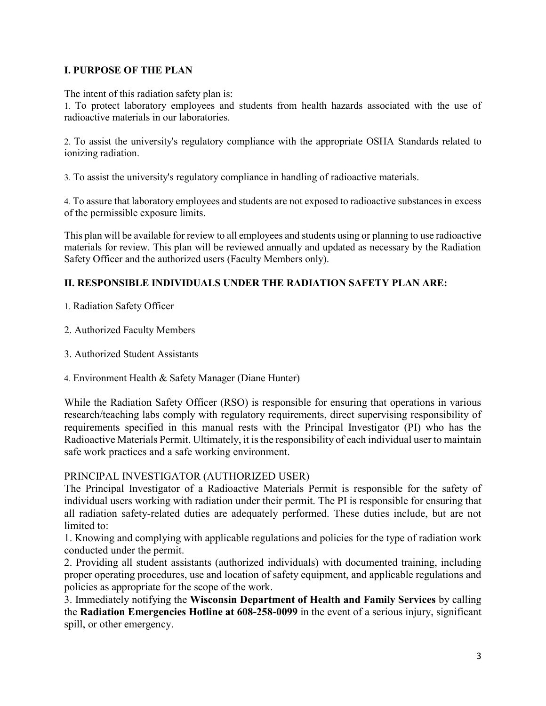#### **I. PURPOSE OF THE PLAN**

The intent of this radiation safety plan is:

1. To protect laboratory employees and students from health hazards associated with the use of radioactive materials in our laboratories.

2. To assist the university's regulatory compliance with the appropriate OSHA Standards related to ionizing radiation.

3. To assist the university's regulatory compliance in handling of radioactive materials.

4. To assure that laboratory employees and students are not exposed to radioactive substances in excess of the permissible exposure limits.

This plan will be available for review to all employees and students using or planning to use radioactive materials for review. This plan will be reviewed annually and updated as necessary by the Radiation Safety Officer and the authorized users (Faculty Members only).

#### **II. RESPONSIBLE INDIVIDUALS UNDER THE RADIATION SAFETY PLAN ARE:**

- 1. Radiation Safety Officer
- 2. Authorized Faculty Members
- 3. Authorized Student Assistants
- 4. Environment Health & Safety Manager (Diane Hunter)

While the Radiation Safety Officer (RSO) is responsible for ensuring that operations in various research/teaching labs comply with regulatory requirements, direct supervising responsibility of requirements specified in this manual rests with the Principal Investigator (PI) who has the Radioactive Materials Permit. Ultimately, it is the responsibility of each individual user to maintain safe work practices and a safe working environment.

#### PRINCIPAL INVESTIGATOR (AUTHORIZED USER)

The Principal Investigator of a Radioactive Materials Permit is responsible for the safety of individual users working with radiation under their permit. The PI is responsible for ensuring that all radiation safety-related duties are adequately performed. These duties include, but are not limited to:

1. Knowing and complying with applicable regulations and policies for the type of radiation work conducted under the permit.

2. Providing all student assistants (authorized individuals) with documented training, including proper operating procedures, use and location of safety equipment, and applicable regulations and policies as appropriate for the scope of the work.

3. Immediately notifying the **Wisconsin Department of Health and Family Services** by calling the **Radiation Emergencies Hotline at 608-258-0099** in the event of a serious injury, significant spill, or other emergency.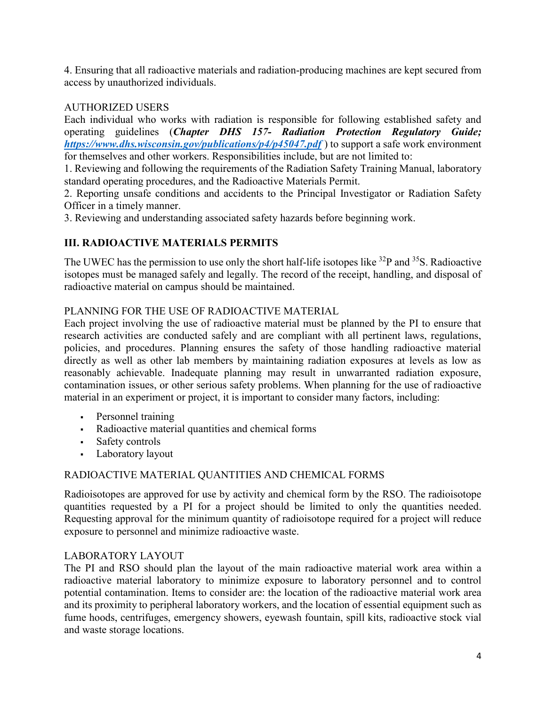4. Ensuring that all radioactive materials and radiation-producing machines are kept secured from access by unauthorized individuals.

#### AUTHORIZED USERS

Each individual who works with radiation is responsible for following established safety and operating guidelines (*Chapter DHS 157- Radiation Protection Regulatory Guide; <https://www.dhs.wisconsin.gov/publications/p4/p45047.pdf>* ) to support a safe work environment for themselves and other workers. Responsibilities include, but are not limited to:

1. Reviewing and following the requirements of the Radiation Safety Training Manual, laboratory standard operating procedures, and the Radioactive Materials Permit.

2. Reporting unsafe conditions and accidents to the Principal Investigator or Radiation Safety Officer in a timely manner.

3. Reviewing and understanding associated safety hazards before beginning work.

#### **III. RADIOACTIVE MATERIALS PERMITS**

The UWEC has the permission to use only the short half-life isotopes like <sup>32</sup>P and <sup>35</sup>S. Radioactive isotopes must be managed safely and legally. The record of the receipt, handling, and disposal of radioactive material on campus should be maintained.

#### PLANNING FOR THE USE OF RADIOACTIVE MATERIAL

Each project involving the use of radioactive material must be planned by the PI to ensure that research activities are conducted safely and are compliant with all pertinent laws, regulations, policies, and procedures. Planning ensures the safety of those handling radioactive material directly as well as other lab members by maintaining radiation exposures at levels as low as reasonably achievable. Inadequate planning may result in unwarranted radiation exposure, contamination issues, or other serious safety problems. When planning for the use of radioactive material in an experiment or project, it is important to consider many factors, including:

- **Personnel training**
- Radioactive material quantities and chemical forms
- Safety controls
- Laboratory layout

#### RADIOACTIVE MATERIAL QUANTITIES AND CHEMICAL FORMS

Radioisotopes are approved for use by activity and chemical form by the RSO. The radioisotope quantities requested by a PI for a project should be limited to only the quantities needed. Requesting approval for the minimum quantity of radioisotope required for a project will reduce exposure to personnel and minimize radioactive waste.

#### LABORATORY LAYOUT

The PI and RSO should plan the layout of the main radioactive material work area within a radioactive material laboratory to minimize exposure to laboratory personnel and to control potential contamination. Items to consider are: the location of the radioactive material work area and its proximity to peripheral laboratory workers, and the location of essential equipment such as fume hoods, centrifuges, emergency showers, eyewash fountain, spill kits, radioactive stock vial and waste storage locations.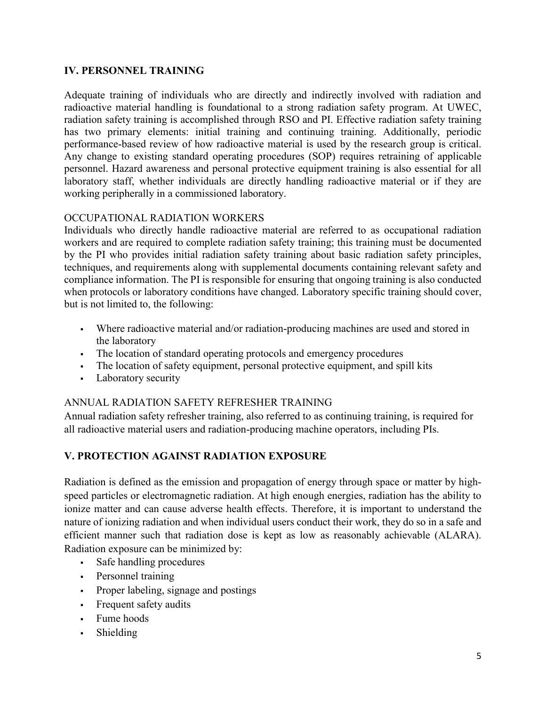#### **IV. PERSONNEL TRAINING**

Adequate training of individuals who are directly and indirectly involved with radiation and radioactive material handling is foundational to a strong radiation safety program. At UWEC, radiation safety training is accomplished through RSO and PI. Effective radiation safety training has two primary elements: initial training and continuing training. Additionally, periodic performance-based review of how radioactive material is used by the research group is critical. Any change to existing standard operating procedures (SOP) requires retraining of applicable personnel. Hazard awareness and personal protective equipment training is also essential for all laboratory staff, whether individuals are directly handling radioactive material or if they are working peripherally in a commissioned laboratory.

#### OCCUPATIONAL RADIATION WORKERS

Individuals who directly handle radioactive material are referred to as occupational radiation workers and are required to complete radiation safety training; this training must be documented by the PI who provides initial radiation safety training about basic radiation safety principles, techniques, and requirements along with supplemental documents containing relevant safety and compliance information. The PI is responsible for ensuring that ongoing training is also conducted when protocols or laboratory conditions have changed. Laboratory specific training should cover, but is not limited to, the following:

- Where radioactive material and/or radiation-producing machines are used and stored in the laboratory
- The location of standard operating protocols and emergency procedures
- The location of safety equipment, personal protective equipment, and spill kits
- Laboratory security

#### ANNUAL RADIATION SAFETY REFRESHER TRAINING

Annual radiation safety refresher training, also referred to as continuing training, is required for all radioactive material users and radiation-producing machine operators, including PIs.

#### **V. PROTECTION AGAINST RADIATION EXPOSURE**

Radiation is defined as the emission and propagation of energy through space or matter by highspeed particles or electromagnetic radiation. At high enough energies, radiation has the ability to ionize matter and can cause adverse health effects. Therefore, it is important to understand the nature of ionizing radiation and when individual users conduct their work, they do so in a safe and efficient manner such that radiation dose is kept as low as reasonably achievable (ALARA). Radiation exposure can be minimized by:

- Safe handling procedures
- Personnel training
- Proper labeling, signage and postings
- Frequent safety audits
- Fume hoods
- Shielding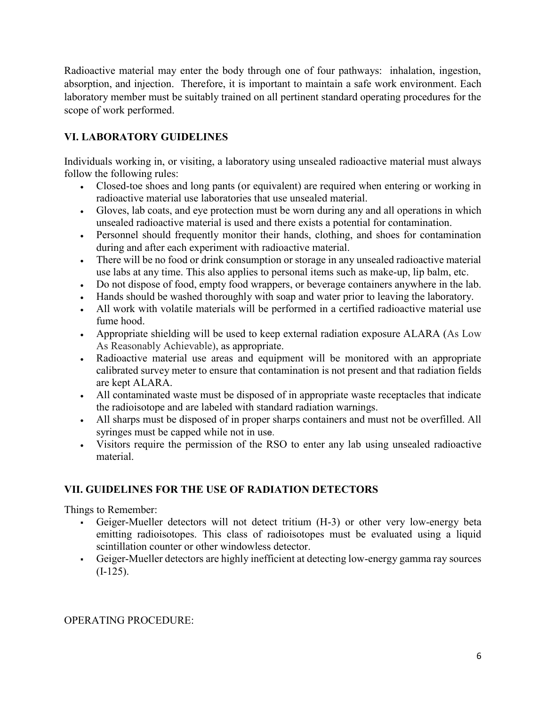Radioactive material may enter the body through one of four pathways: inhalation, ingestion, absorption, and injection. Therefore, it is important to maintain a safe work environment. Each laboratory member must be suitably trained on all pertinent standard operating procedures for the scope of work performed.

#### **VI. LABORATORY GUIDELINES**

Individuals working in, or visiting, a laboratory using unsealed radioactive material must always follow the following rules:

- <sup>x</sup> Closed-toe shoes and long pants (or equivalent) are required when entering or working in radioactive material use laboratories that use unsealed material.
- Gloves, lab coats, and eye protection must be worn during any and all operations in which unsealed radioactive material is used and there exists a potential for contamination.
- Fersonnel should frequently monitor their hands, clothing, and shoes for contamination during and after each experiment with radioactive material.
- Figure 1. There will be no food or drink consumption or storage in any unsealed radioactive material use labs at any time. This also applies to personal items such as make-up, lip balm, etc.
- Do not dispose of food, empty food wrappers, or beverage containers anywhere in the lab.
- I Hands should be washed thoroughly with soap and water prior to leaving the laboratory.
- All work with volatile materials will be performed in a certified radioactive material use fume hood.
- Appropriate shielding will be used to keep external radiation exposure ALARA (As Low As Reasonably Achievable), as appropriate.
- <sup>x</sup> Radioactive material use areas and equipment will be monitored with an appropriate calibrated survey meter to ensure that contamination is not present and that radiation fields are kept ALARA.
- In All contaminated waste must be disposed of in appropriate waste receptacles that indicate the radioisotope and are labeled with standard radiation warnings.
- If All sharps must be disposed of in proper sharps containers and must not be overfilled. All syringes must be capped while not in use.
- Visitors require the permission of the RSO to enter any lab using unsealed radioactive material.

#### **VII. GUIDELINES FOR THE USE OF RADIATION DETECTORS**

Things to Remember:

- Geiger-Mueller detectors will not detect tritium (H-3) or other very low-energy beta emitting radioisotopes. This class of radioisotopes must be evaluated using a liquid scintillation counter or other windowless detector.
- Geiger-Mueller detectors are highly inefficient at detecting low-energy gamma ray sources  $(I-125)$ .

OPERATING PROCEDURE: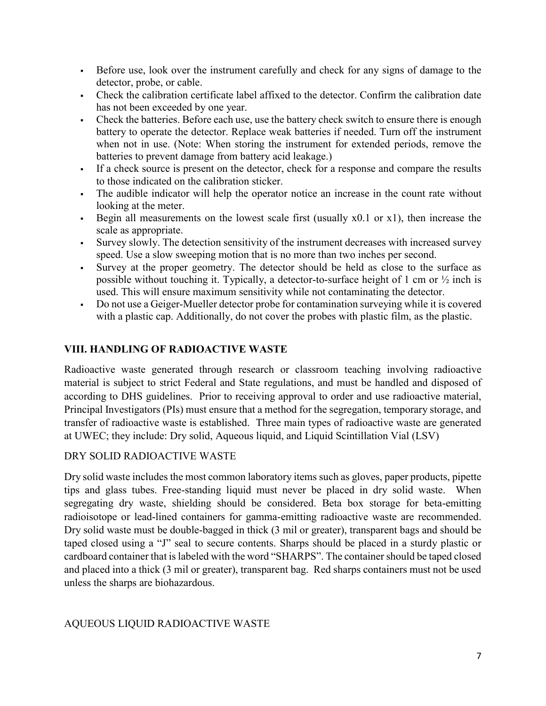- Before use, look over the instrument carefully and check for any signs of damage to the detector, probe, or cable.
- Check the calibration certificate label affixed to the detector. Confirm the calibration date has not been exceeded by one year.
- Check the batteries. Before each use, use the battery check switch to ensure there is enough battery to operate the detector. Replace weak batteries if needed. Turn off the instrument when not in use. (Note: When storing the instrument for extended periods, remove the batteries to prevent damage from battery acid leakage.)
- If a check source is present on the detector, check for a response and compare the results to those indicated on the calibration sticker.
- The audible indicator will help the operator notice an increase in the count rate without looking at the meter.
- Begin all measurements on the lowest scale first (usually  $x(0.1)$  or  $x(1)$ ), then increase the scale as appropriate.
- Survey slowly. The detection sensitivity of the instrument decreases with increased survey speed. Use a slow sweeping motion that is no more than two inches per second.
- Survey at the proper geometry. The detector should be held as close to the surface as possible without touching it. Typically, a detector-to-surface height of 1 cm or  $\frac{1}{2}$  inch is used. This will ensure maximum sensitivity while not contaminating the detector.
- Do not use a Geiger-Mueller detector probe for contamination surveying while it is covered with a plastic cap. Additionally, do not cover the probes with plastic film, as the plastic.

#### **VIII. HANDLING OF RADIOACTIVE WASTE**

Radioactive waste generated through research or classroom teaching involving radioactive material is subject to strict Federal and State regulations, and must be handled and disposed of according to DHS guidelines. Prior to receiving approval to order and use radioactive material, Principal Investigators (PIs) must ensure that a method for the segregation, temporary storage, and transfer of radioactive waste is established. Three main types of radioactive waste are generated at UWEC; they include: Dry solid, Aqueous liquid, and Liquid Scintillation Vial (LSV)

#### DRY SOLID RADIOACTIVE WASTE

Dry solid waste includes the most common laboratory items such as gloves, paper products, pipette tips and glass tubes. Free-standing liquid must never be placed in dry solid waste. When segregating dry waste, shielding should be considered. Beta box storage for beta-emitting radioisotope or lead-lined containers for gamma-emitting radioactive waste are recommended. Dry solid waste must be double-bagged in thick (3 mil or greater), transparent bags and should be taped closed using a "J" seal to secure contents. Sharps should be placed in a sturdy plastic or cardboard container that is labeled with the word "SHARPS". The container should be taped closed and placed into a thick (3 mil or greater), transparent bag. Red sharps containers must not be used unless the sharps are biohazardous.

#### AQUEOUS LIQUID RADIOACTIVE WASTE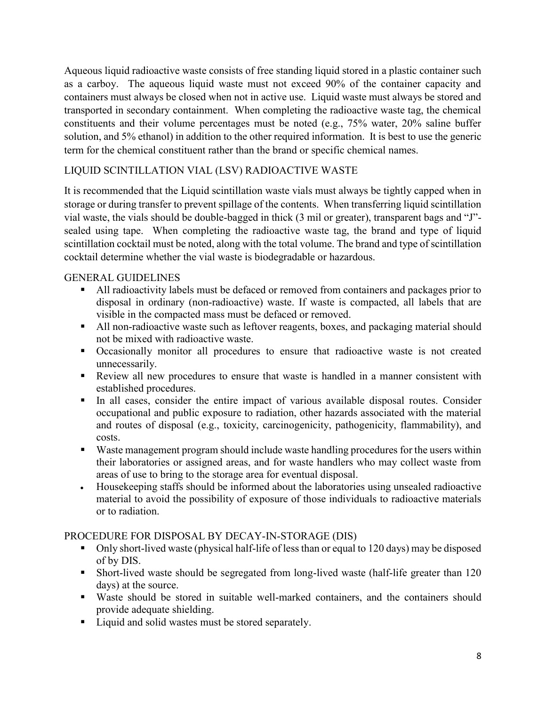Aqueous liquid radioactive waste consists of free standing liquid stored in a plastic container such as a carboy. The aqueous liquid waste must not exceed 90% of the container capacity and containers must always be closed when not in active use. Liquid waste must always be stored and transported in secondary containment. When completing the radioactive waste tag, the chemical constituents and their volume percentages must be noted (e.g., 75% water, 20% saline buffer solution, and 5% ethanol) in addition to the other required information. It is best to use the generic term for the chemical constituent rather than the brand or specific chemical names.

#### LIQUID SCINTILLATION VIAL (LSV) RADIOACTIVE WASTE

It is recommended that the Liquid scintillation waste vials must always be tightly capped when in storage or during transfer to prevent spillage of the contents. When transferring liquid scintillation vial waste, the vials should be double-bagged in thick (3 mil or greater), transparent bags and "J" sealed using tape. When completing the radioactive waste tag, the brand and type of liquid scintillation cocktail must be noted, along with the total volume. The brand and type of scintillation cocktail determine whether the vial waste is biodegradable or hazardous.

#### GENERAL GUIDELINES

- All radioactivity labels must be defaced or removed from containers and packages prior to disposal in ordinary (non-radioactive) waste. If waste is compacted, all labels that are visible in the compacted mass must be defaced or removed.
- All non-radioactive waste such as leftover reagents, boxes, and packaging material should not be mixed with radioactive waste.
- Occasionally monitor all procedures to ensure that radioactive waste is not created unnecessarily.
- Review all new procedures to ensure that waste is handled in a manner consistent with established procedures.
- In all cases, consider the entire impact of various available disposal routes. Consider occupational and public exposure to radiation, other hazards associated with the material and routes of disposal (e.g., toxicity, carcinogenicity, pathogenicity, flammability), and costs.
- Waste management program should include waste handling procedures for the users within their laboratories or assigned areas, and for waste handlers who may collect waste from areas of use to bring to the storage area for eventual disposal.
- <sup>x</sup> Housekeeping staffs should be informed about the laboratories using unsealed radioactive material to avoid the possibility of exposure of those individuals to radioactive materials or to radiation.

#### PROCEDURE FOR DISPOSAL BY DECAY-IN-STORAGE (DIS)

- Only short-lived waste (physical half-life of less than or equal to 120 days) may be disposed of by DIS.
- Short-lived waste should be segregated from long-lived waste (half-life greater than 120 days) at the source.
- Waste should be stored in suitable well-marked containers, and the containers should provide adequate shielding.
- Liquid and solid wastes must be stored separately.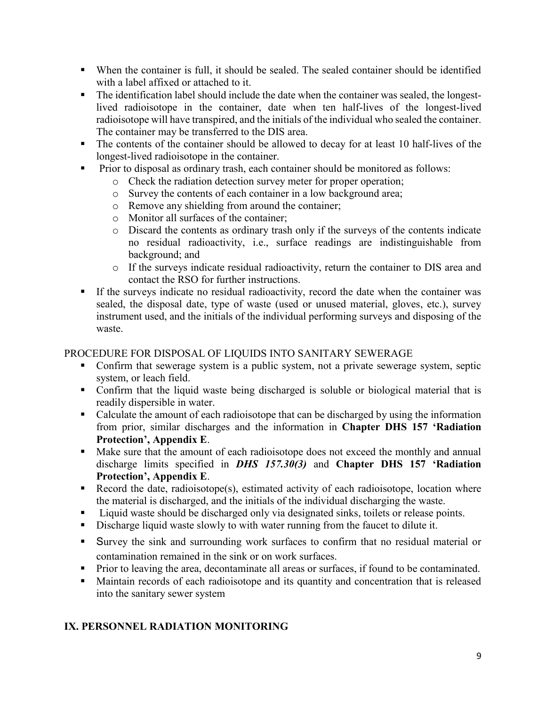- When the container is full, it should be sealed. The sealed container should be identified with a label affixed or attached to it.
- The identification label should include the date when the container was sealed, the longestlived radioisotope in the container, date when ten half-lives of the longest-lived radioisotope will have transpired, and the initials of the individual who sealed the container. The container may be transferred to the DIS area.
- The contents of the container should be allowed to decay for at least 10 half-lives of the longest-lived radioisotope in the container.
- **Prior to disposal as ordinary trash, each container should be monitored as follows:** 
	- o Check the radiation detection survey meter for proper operation;
	- o Survey the contents of each container in a low background area;
	- o Remove any shielding from around the container;
	- o Monitor all surfaces of the container;
	- o Discard the contents as ordinary trash only if the surveys of the contents indicate no residual radioactivity, i.e., surface readings are indistinguishable from background; and
	- o If the surveys indicate residual radioactivity, return the container to DIS area and contact the RSO for further instructions.
- If the surveys indicate no residual radioactivity, record the date when the container was sealed, the disposal date, type of waste (used or unused material, gloves, etc.), survey instrument used, and the initials of the individual performing surveys and disposing of the waste.

#### PROCEDURE FOR DISPOSAL OF LIQUIDS INTO SANITARY SEWERAGE

- Confirm that sewerage system is a public system, not a private sewerage system, septic system, or leach field.
- Confirm that the liquid waste being discharged is soluble or biological material that is readily dispersible in water.
- Calculate the amount of each radioisotope that can be discharged by using the information from prior, similar discharges and the information in **Chapter DHS 157 'Radiation Protection', Appendix E**.
- Make sure that the amount of each radioisotope does not exceed the monthly and annual discharge limits specified in *DHS 157.30(3)* and **Chapter DHS 157 'Radiation Protection', Appendix E**.
- Record the date, radioisotope(s), estimated activity of each radioisotope, location where the material is discharged, and the initials of the individual discharging the waste.
- Liquid waste should be discharged only via designated sinks, toilets or release points.
- Discharge liquid waste slowly to with water running from the faucet to dilute it.
- Survey the sink and surrounding work surfaces to confirm that no residual material or contamination remained in the sink or on work surfaces.
- **Prior to leaving the area, decontaminate all areas or surfaces, if found to be contaminated.**
- Maintain records of each radioisotope and its quantity and concentration that is released into the sanitary sewer system

#### **IX. PERSONNEL RADIATION MONITORING**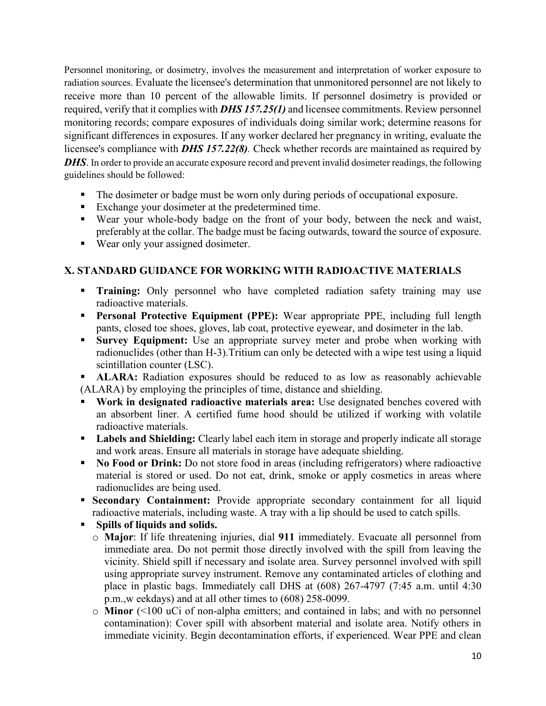Personnel monitoring, or dosimetry, involves the measurement and interpretation of worker exposure to radiation sources. Evaluate the licensee's determination that unmonitored personnel are not likely to receive more than 10 percent of the allowable limits. If personnel dosimetry is provided or required, verify that it complies with *DHS 157.25(1)* and licensee commitments. Review personnel monitoring records; compare exposures of individuals doing similar work; determine reasons for significant differences in exposures. If any worker declared her pregnancy in writing, evaluate the licensee's compliance with *DHS 157.22(8).* Check whether records are maintained as required by *DHS*. In order to provide an accurate exposure record and prevent invalid dosimeter readings, the following guidelines should be followed:

- The dosimeter or badge must be worn only during periods of occupational exposure.
- Exchange your dosimeter at the predetermined time.
- Wear your whole-body badge on the front of your body, between the neck and waist, preferably at the collar. The badge must be facing outwards, toward the source of exposure.
- Wear only your assigned dosimeter.

#### **X. STANDARD GUIDANCE FOR WORKING WITH RADIOACTIVE MATERIALS**

- **Training:** Only personnel who have completed radiation safety training may use radioactive materials.
- **Personal Protective Equipment (PPE):** Wear appropriate PPE, including full length pants, closed toe shoes, gloves, lab coat, protective eyewear, and dosimeter in the lab.
- **Survey Equipment:** Use an appropriate survey meter and probe when working with radionuclides (other than H-3).Tritium can only be detected with a wipe test using a liquid scintillation counter (LSC).

**ALARA:** Radiation exposures should be reduced to as low as reasonably achievable (ALARA) by employing the principles of time, distance and shielding.

- **Work in designated radioactive materials area:** Use designated benches covered with an absorbent liner. A certified fume hood should be utilized if working with volatile radioactive materials.
- **Labels and Shielding:** Clearly label each item in storage and properly indicate all storage and work areas. Ensure all materials in storage have adequate shielding.
- **No Food or Drink:** Do not store food in areas (including refrigerators) where radioactive material is stored or used. Do not eat, drink, smoke or apply cosmetics in areas where radionuclides are being used.
- **Secondary Containment:** Provide appropriate secondary containment for all liquid radioactive materials, including waste. A tray with a lip should be used to catch spills.
- **Spills of liquids and solids.** 
	- o **Major**: If life threatening injuries, dial **911** immediately. Evacuate all personnel from immediate area. Do not permit those directly involved with the spill from leaving the vicinity. Shield spill if necessary and isolate area. Survey personnel involved with spill using appropriate survey instrument. Remove any contaminated articles of clothing and place in plastic bags. Immediately call DHS at (608) 267-4797 (7:45 a.m. until 4:30 p.m.,w eekdays) and at all other times to (608) 258-0099.
	- o **Minor** (<100 uCi of non-alpha emitters; and contained in labs; and with no personnel contamination): Cover spill with absorbent material and isolate area. Notify others in immediate vicinity. Begin decontamination efforts, if experienced. Wear PPE and clean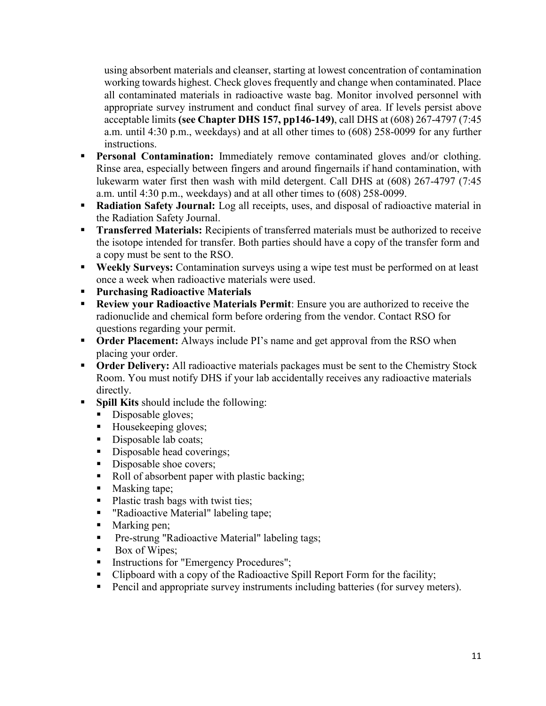using absorbent materials and cleanser, starting at lowest concentration of contamination working towards highest. Check gloves frequently and change when contaminated. Place all contaminated materials in radioactive waste bag. Monitor involved personnel with appropriate survey instrument and conduct final survey of area. If levels persist above acceptable limits **(see Chapter DHS 157, pp146-149)**, call DHS at (608) 267-4797 (7:45 a.m. until 4:30 p.m., weekdays) and at all other times to (608) 258-0099 for any further instructions.

- **Personal Contamination:** Immediately remove contaminated gloves and/or clothing. Rinse area, especially between fingers and around fingernails if hand contamination, with lukewarm water first then wash with mild detergent. Call DHS at (608) 267-4797 (7:45 a.m. until 4:30 p.m., weekdays) and at all other times to (608) 258-0099.
- **Radiation Safety Journal:** Log all receipts, uses, and disposal of radioactive material in the Radiation Safety Journal.
- **Transferred Materials:** Recipients of transferred materials must be authorized to receive the isotope intended for transfer. Both parties should have a copy of the transfer form and a copy must be sent to the RSO.
- **Weekly Surveys:** Contamination surveys using a wipe test must be performed on at least once a week when radioactive materials were used.
- **Purchasing Radioactive Materials**
- **Review your Radioactive Materials Permit**: Ensure you are authorized to receive the radionuclide and chemical form before ordering from the vendor. Contact RSO for questions regarding your permit.
- **Order Placement:** Always include PI's name and get approval from the RSO when placing your order.
- **Order Delivery:** All radioactive materials packages must be sent to the Chemistry Stock Room. You must notify DHS if your lab accidentally receives any radioactive materials directly.
- **Spill Kits** should include the following:
	- Disposable gloves;
	- Housekeeping gloves;
	- Disposable lab coats;
	- Disposable head coverings;
	- Disposable shoe covers;
	- Roll of absorbent paper with plastic backing;
	- Masking tape;
	- Plastic trash bags with twist ties;
	- " "Radioactive Material" labeling tape;
	- Marking pen;
	- **Pre-strung "Radioactive Material" labeling tags;**
	- Box of Wipes;
	- Instructions for "Emergency Procedures";
	- Clipboard with a copy of the Radioactive Spill Report Form for the facility;
	- **Pencil and appropriate survey instruments including batteries (for survey meters).**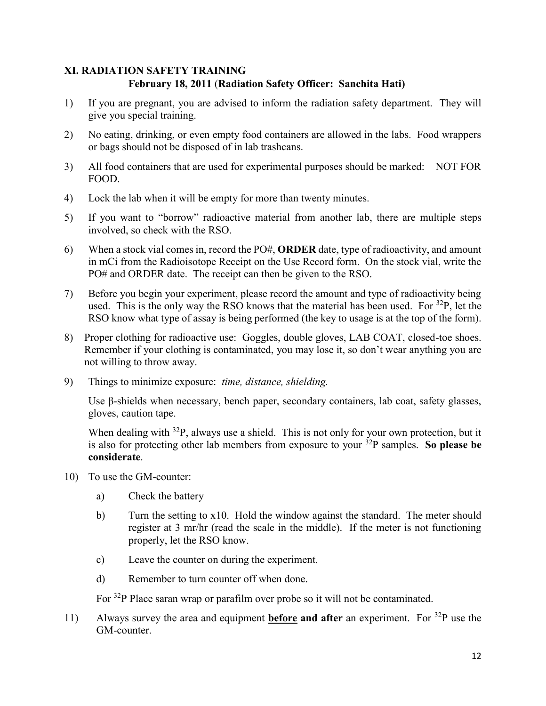#### **XI. RADIATION SAFETY TRAINING February 18, 2011** (**Radiation Safety Officer: Sanchita Hati)**

- 1) If you are pregnant, you are advised to inform the radiation safety department. They will give you special training.
- 2) No eating, drinking, or even empty food containers are allowed in the labs. Food wrappers or bags should not be disposed of in lab trashcans.
- 3) All food containers that are used for experimental purposes should be marked: NOT FOR FOOD.
- 4) Lock the lab when it will be empty for more than twenty minutes.
- 5) If you want to "borrow" radioactive material from another lab, there are multiple steps involved, so check with the RSO.
- 6) When a stock vial comes in, record the PO#, **ORDER** date, type of radioactivity, and amount in mCi from the Radioisotope Receipt on the Use Record form. On the stock vial, write the PO# and ORDER date. The receipt can then be given to the RSO.
- 7) Before you begin your experiment, please record the amount and type of radioactivity being used. This is the only way the RSO knows that the material has been used. For  ${}^{32}P$ , let the RSO know what type of assay is being performed (the key to usage is at the top of the form).
- 8) Proper clothing for radioactive use: Goggles, double gloves, LAB COAT, closed-toe shoes. Remember if your clothing is contaminated, you may lose it, so don't wear anything you are not willing to throw away.
- 9) Things to minimize exposure: *time, distance, shielding.*

Use β-shields when necessary, bench paper, secondary containers, lab coat, safety glasses, gloves, caution tape.

When dealing with  $32P$ , always use a shield. This is not only for your own protection, but it is also for protecting other lab members from exposure to your  $32P$  samples. So please be **considerate**.

- 10) To use the GM-counter:
	- a) Check the battery
	- b) Turn the setting to x10. Hold the window against the standard. The meter should register at 3 mr/hr (read the scale in the middle). If the meter is not functioning properly, let the RSO know.
	- c) Leave the counter on during the experiment.
	- d) Remember to turn counter off when done.

For <sup>32</sup>P Place saran wrap or parafilm over probe so it will not be contaminated.

11) Always survey the area and equipment **before and after** an experiment. For 32P use the GM-counter.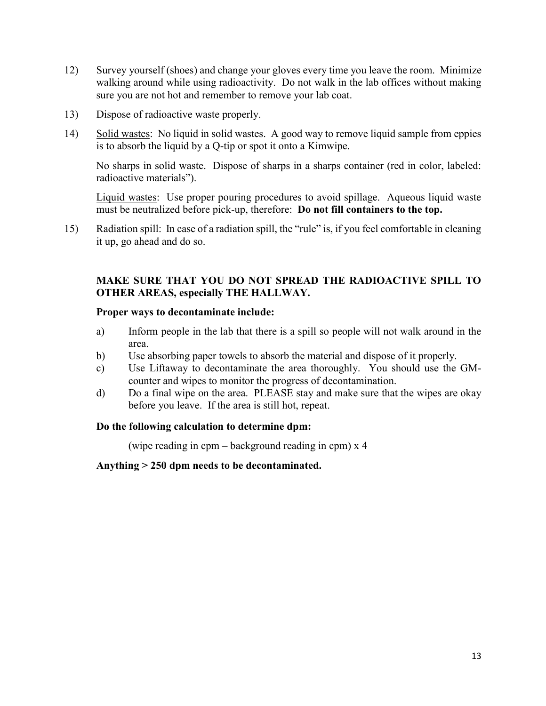- 12) Survey yourself (shoes) and change your gloves every time you leave the room. Minimize walking around while using radioactivity. Do not walk in the lab offices without making sure you are not hot and remember to remove your lab coat.
- 13) Dispose of radioactive waste properly.
- 14) Solid wastes: No liquid in solid wastes. A good way to remove liquid sample from eppies is to absorb the liquid by a Q-tip or spot it onto a Kimwipe.

No sharps in solid waste. Dispose of sharps in a sharps container (red in color, labeled: radioactive materials").

Liquid wastes: Use proper pouring procedures to avoid spillage. Aqueous liquid waste must be neutralized before pick-up, therefore: **Do not fill containers to the top.**

15) Radiation spill: In case of a radiation spill, the "rule" is, if you feel comfortable in cleaning it up, go ahead and do so.

#### **MAKE SURE THAT YOU DO NOT SPREAD THE RADIOACTIVE SPILL TO OTHER AREAS, especially THE HALLWAY.**

#### **Proper ways to decontaminate include:**

- a) Inform people in the lab that there is a spill so people will not walk around in the area.
- b) Use absorbing paper towels to absorb the material and dispose of it properly.
- c) Use Liftaway to decontaminate the area thoroughly. You should use the GMcounter and wipes to monitor the progress of decontamination.
- d) Do a final wipe on the area. PLEASE stay and make sure that the wipes are okay before you leave. If the area is still hot, repeat.

#### **Do the following calculation to determine dpm:**

(wipe reading in cpm – background reading in cpm) x 4

**Anything > 250 dpm needs to be decontaminated.**